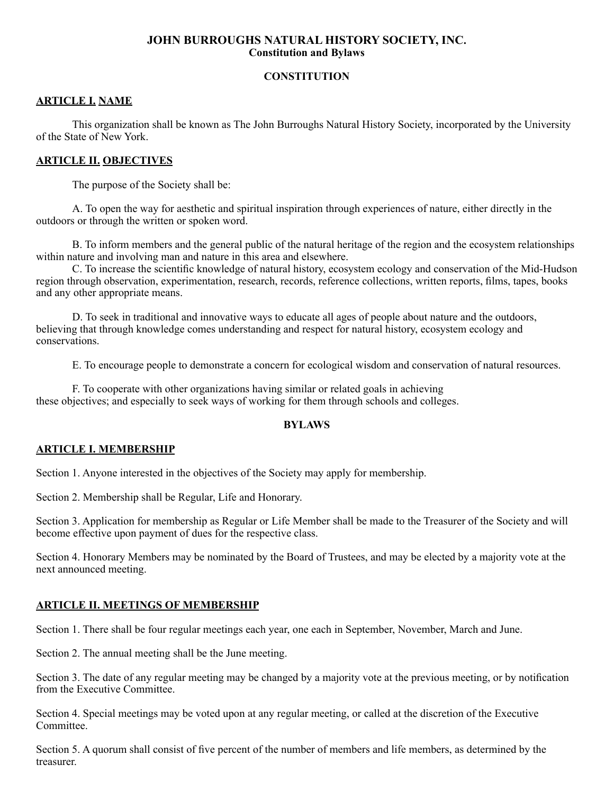### **JOHN BURROUGHS NATURAL HISTORY SOCIETY, INC. Constitution and Bylaws**

## **CONSTITUTION**

#### **ARTICLE I. NAME**

 This organization shall be known as The John Burroughs Natural History Society, incorporated by the University of the State of New York.

#### **ARTICLE II. OBJECTIVES**

 The purpose of the Society shall be:

 A. To open the way for aesthetic and spiritual inspiration through experiences of nature, either directly in the outdoors or through the written or spoken word.

 B. To inform members and the general public of the natural heritage of the region and the ecosystem relationships within nature and involving man and nature in this area and elsewhere.

 C. To increase the scientific knowledge of natural history, ecosystem ecology and conservation of the Mid-Hudson region through observation, experimentation, research, records, reference collections, written reports, films, tapes, books and any other appropriate means.

 D. To seek in traditional and innovative ways to educate all ages of people about nature and the outdoors, believing that through knowledge comes understanding and respect for natural history, ecosystem ecology and conservations.

 E. To encourage people to demonstrate a concern for ecological wisdom and conservation of natural resources.

 F. To cooperate with other organizations having similar or related goals in achieving these objectives; and especially to seek ways of working for them through schools and colleges.

#### **BYLAWS**

### **ARTICLE I. MEMBERSHIP**

Section 1. Anyone interested in the objectives of the Society may apply for membership.

Section 2. Membership shall be Regular, Life and Honorary.

Section 3. Application for membership as Regular or Life Member shall be made to the Treasurer of the Society and will become effective upon payment of dues for the respective class.

Section 4. Honorary Members may be nominated by the Board of Trustees, and may be elected by a majority vote at the next announced meeting.

### **ARTICLE II. MEETINGS OF MEMBERSHIP**

Section 1. There shall be four regular meetings each year, one each in September, November, March and June.

Section 2. The annual meeting shall be the June meeting.

Section 3. The date of any regular meeting may be changed by a majority vote at the previous meeting, or by notification from the Executive Committee.

Section 4. Special meetings may be voted upon at any regular meeting, or called at the discretion of the Executive Committee.

Section 5. A quorum shall consist of five percent of the number of members and life members, as determined by the treasurer.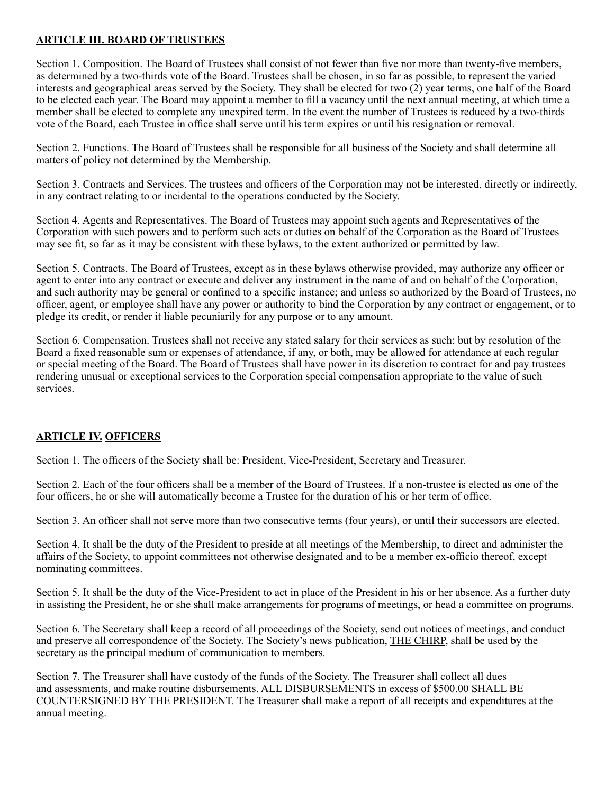## **ARTICLE III. BOARD OF TRUSTEES**

Section 1. Composition. The Board of Trustees shall consist of not fewer than five nor more than twenty-five members, as determined by a two-thirds vote of the Board. Trustees shall be chosen, in so far as possible, to represent the varied interests and geographical areas served by the Society. They shall be elected for two (2) year terms, one half of the Board to be elected each year. The Board may appoint a member to fill a vacancy until the next annual meeting, at which time a member shall be elected to complete any unexpired term. In the event the number of Trustees is reduced by a two-thirds vote of the Board, each Trustee in office shall serve until his term expires or until his resignation or removal.

Section 2. Functions. The Board of Trustees shall be responsible for all business of the Society and shall determine all matters of policy not determined by the Membership.

Section 3. Contracts and Services. The trustees and officers of the Corporation may not be interested, directly or indirectly, in any contract relating to or incidental to the operations conducted by the Society.

Section 4. Agents and Representatives. The Board of Trustees may appoint such agents and Representatives of the Corporation with such powers and to perform such acts or duties on behalf of the Corporation as the Board of Trustees may see fit, so far as it may be consistent with these bylaws, to the extent authorized or permitted by law.

Section 5. Contracts. The Board of Trustees, except as in these bylaws otherwise provided, may authorize any officer or agent to enter into any contract or execute and deliver any instrument in the name of and on behalf of the Corporation, and such authority may be general or confined to a specific instance; and unless so authorized by the Board of Trustees, no officer, agent, or employee shall have any power or authority to bind the Corporation by any contract or engagement, or to pledge its credit, or render it liable pecuniarily for any purpose or to any amount.

Section 6. Compensation. Trustees shall not receive any stated salary for their services as such; but by resolution of the Board a fixed reasonable sum or expenses of attendance, if any, or both, may be allowed for attendance at each regular or special meeting of the Board. The Board of Trustees shall have power in its discretion to contract for and pay trustees rendering unusual or exceptional services to the Corporation special compensation appropriate to the value of such services.

### **ARTICLE IV. OFFICERS**

Section 1. The officers of the Society shall be: President, Vice-President, Secretary and Treasurer.

Section 2. Each of the four officers shall be a member of the Board of Trustees. If a non-trustee is elected as one of the four officers, he or she will automatically become a Trustee for the duration of his or her term of office.

Section 3. An officer shall not serve more than two consecutive terms (four years), or until their successors are elected.

Section 4. It shall be the duty of the President to preside at all meetings of the Membership, to direct and administer the affairs of the Society, to appoint committees not otherwise designated and to be a member ex-officio thereof, except nominating committees.

Section 5. It shall be the duty of the Vice-President to act in place of the President in his or her absence. As a further duty in assisting the President, he or she shall make arrangements for programs of meetings, or head a committee on programs.

Section 6. The Secretary shall keep a record of all proceedings of the Society, send out notices of meetings, and conduct and preserve all correspondence of the Society. The Society's news publication, THE CHIRP, shall be used by the secretary as the principal medium of communication to members.

Section 7. The Treasurer shall have custody of the funds of the Society. The Treasurer shall collect all dues and assessments, and make routine disbursements. ALL DISBURSEMENTS in excess of \$500.00 SHALL BE COUNTERSIGNED BY THE PRESIDENT. The Treasurer shall make a report of all receipts and expenditures at the annual meeting.